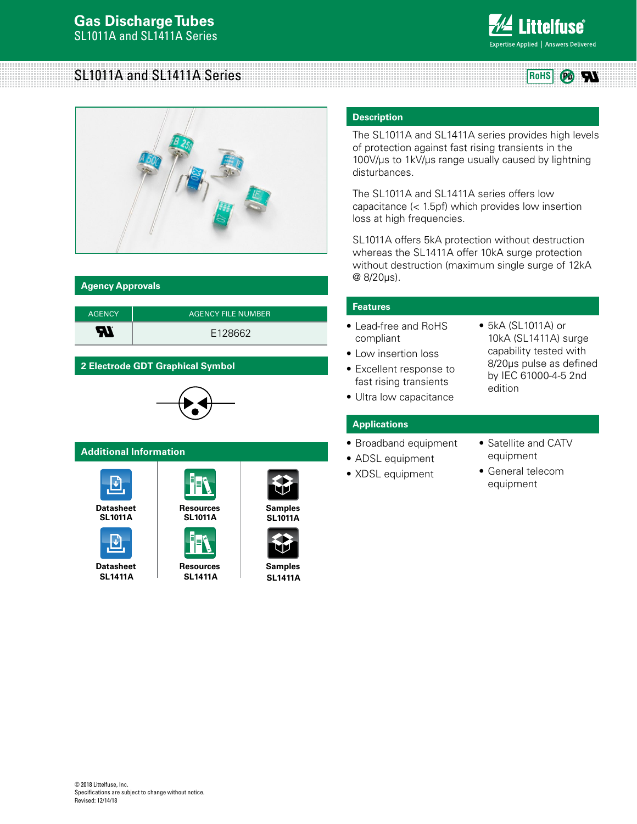

 $(\mathbb{P}_0)$ 

W

# SL1011A and SL1411A Series **Rows Rows Rows Rows**



# **Agency Approvals**

| <b>AGENCY</b> | <b>AGENCY FILE NUMBER</b> |
|---------------|---------------------------|
| R             | F128662                   |

# **2 Electrode GDT Graphical Symbol**



# **Additional Information**



**SL1011A**



**SL1411A**



**Datasheet [Resources](http://www.littelfuse.com/products/gas-discharge-tubes/medium-to-high-surge-gdt/sl1411a.aspx#TechnicalResources) [Samples](http://www.littelfuse.com/products/gas-discharge-tubes/medium-to-high-surge-gdt/sl1411a.aspx#ElectricalCharacteristics) SL1411A**





**SL1411A**

# **Description**

The SL1011A and SL1411A series provides high levels of protection against fast rising transients in the 100V/us to 1kV/us range usually caused by lightning disturbances.

The SL1011A and SL1411A series offers low capacitance (< 1.5pf) which provides low insertion loss at high frequencies.

SL1011A offers 5kA protection without destruction whereas the SL1411A offer 10kA surge protection without destruction (maximum single surge of 12kA @ 8/20µs).

# **Features**

- Lead-free and RoHS compliant
- Low insertion loss
- Excellent response to fast rising transients
- Ultra low capacitance
- 5kA (SL1011A) or 10kA (SL1411A) surge capability tested with 8/20μs pulse as defined by IEC 61000-4-5 2nd edition

# **Applications**

- Broadband equipment
- ADSL equipment
- XDSL equipment
- Satellite and CATV equipment
- General telecom equipment

© 2018 Littelfuse, Inc. Specifications are subject to change without notice. Revised: 12/14/18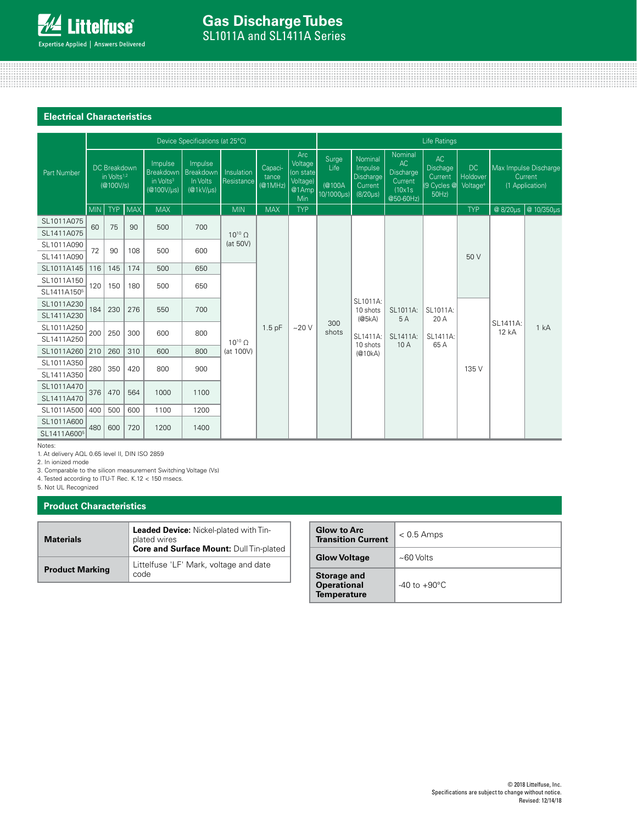

# **Electrical Characteristics**

|                         | Device Specifications (at 25°C)                      |            |                                                                  |                                               |                                                         |                                 |                                                         |                                            | Life Ratings                                                 |                                                               |                                                  |                                               |                                                     |          |                     |  |
|-------------------------|------------------------------------------------------|------------|------------------------------------------------------------------|-----------------------------------------------|---------------------------------------------------------|---------------------------------|---------------------------------------------------------|--------------------------------------------|--------------------------------------------------------------|---------------------------------------------------------------|--------------------------------------------------|-----------------------------------------------|-----------------------------------------------------|----------|---------------------|--|
| Part Number             | DC Breakdown<br>in Volts <sup>1,2</sup><br>(@100V/s) |            | Impulse<br>Breakdown<br>in Volts <sup>3</sup><br>$(@100V/\mu s)$ | Impulse<br>Breakdown<br>In Volts<br>(@1kV/µs) | Capaci-<br>Insulation<br>tance<br>Resistance<br>(@1MHz) |                                 | Arc<br>Voltage<br>(on state<br>Voltage)<br>@1Amp<br>Min | Surge<br>Life<br>(@100A<br>$10/1000 \mu s$ | Nominal<br>Impulse<br>Discharge<br>Current<br>$(8/20 \mu s)$ | Nominal<br>AC<br>Discharge<br>Current<br>(10x1s)<br>@50-60Hz) | AC<br>Dischage<br>Current<br>(9 Cycles @<br>50Hz | <b>DC</b><br>Holdover<br>Voltage <sup>4</sup> | Max Impulse Discharge<br>Current<br>(1 Application) |          |                     |  |
|                         | MIN                                                  | <b>TYP</b> | <b>MAX</b>                                                       | <b>MAX</b>                                    |                                                         | <b>MIN</b>                      | <b>MAX</b>                                              | <b>TYP</b>                                 |                                                              |                                                               |                                                  |                                               | <b>TYP</b>                                          |          | @ 8/20us @ 10/350us |  |
| SL1011A075              | 60                                                   | 75         | 90                                                               | 500                                           | 700                                                     |                                 |                                                         |                                            |                                                              |                                                               |                                                  |                                               |                                                     |          |                     |  |
| SL1411A075              |                                                      |            |                                                                  |                                               |                                                         | $10^{10}$ $\Omega$              |                                                         |                                            |                                                              |                                                               |                                                  |                                               |                                                     |          |                     |  |
| SL1011A090              | 72                                                   | 90         | 108                                                              |                                               | 500                                                     | 600                             | (at 50V)                                                |                                            |                                                              |                                                               |                                                  |                                               |                                                     |          |                     |  |
| SL1411A090              |                                                      |            |                                                                  |                                               |                                                         |                                 |                                                         |                                            | 300                                                          |                                                               |                                                  | 50 V                                          |                                                     |          |                     |  |
| SL1011A145              | 116                                                  | 145        | 174                                                              | 500                                           | 650                                                     |                                 |                                                         |                                            |                                                              |                                                               |                                                  |                                               |                                                     | SL1411A: |                     |  |
| SL1011A150              |                                                      | 120<br>150 |                                                                  | 180<br>500                                    | 650                                                     |                                 |                                                         |                                            |                                                              |                                                               |                                                  |                                               |                                                     |          |                     |  |
| SL1411A150 <sup>5</sup> |                                                      |            |                                                                  |                                               |                                                         |                                 |                                                         |                                            |                                                              |                                                               |                                                  |                                               |                                                     |          |                     |  |
| SL1011A230              |                                                      | 184<br>230 | 276                                                              | 550                                           | 700                                                     |                                 |                                                         |                                            |                                                              | SL1011A:<br>10 shots                                          | SL1011A:                                         | SL1011A:                                      |                                                     |          |                     |  |
| SL1411A230              |                                                      |            |                                                                  |                                               |                                                         |                                 |                                                         |                                            |                                                              | (@5kA)                                                        | 5A                                               | 20 A                                          |                                                     |          |                     |  |
| SL1011A250              | 200                                                  | 250        | 300                                                              | 600                                           | 800                                                     |                                 | $1.5$ pF                                                | ~20V                                       | shots                                                        |                                                               |                                                  |                                               |                                                     | 12 kA    | 1 kA                |  |
| SL1411A250              |                                                      |            |                                                                  |                                               |                                                         | $10^{10}$ $\Omega$<br>(at 100V) |                                                         |                                            |                                                              | SL1411A:<br>10 shots                                          | SL1411A:<br>10 A                                 | SL1411A:<br>65 A                              |                                                     |          |                     |  |
| SL1011A260              | 210                                                  | 260        | 310                                                              | 600                                           | 800                                                     |                                 |                                                         |                                            |                                                              | (@10kA)                                                       |                                                  |                                               |                                                     |          |                     |  |
| SL1011A350              | 280                                                  | 350        | 420                                                              | 800                                           | 900                                                     |                                 |                                                         |                                            |                                                              |                                                               |                                                  |                                               | 135 V                                               |          |                     |  |
| SL1411A350              |                                                      |            |                                                                  |                                               |                                                         |                                 |                                                         |                                            |                                                              |                                                               |                                                  |                                               |                                                     |          |                     |  |
| SL1011A470              | 376<br>470                                           | 564        | 1000                                                             | 1100                                          |                                                         |                                 |                                                         |                                            |                                                              |                                                               |                                                  |                                               |                                                     |          |                     |  |
| SL1411A470              |                                                      |            |                                                                  |                                               |                                                         |                                 |                                                         |                                            |                                                              |                                                               |                                                  |                                               |                                                     |          |                     |  |
| SL1011A500              | 400                                                  | 500        | 600                                                              | 1100                                          | 1200                                                    |                                 |                                                         |                                            |                                                              |                                                               |                                                  |                                               |                                                     |          |                     |  |
| SL1011A600              | 480<br>600                                           | 720        | 1200                                                             | 1400                                          |                                                         |                                 |                                                         |                                            |                                                              |                                                               |                                                  |                                               |                                                     |          |                     |  |
| SL1411A600 <sup>5</sup> |                                                      |            |                                                                  |                                               |                                                         |                                 |                                                         |                                            |                                                              |                                                               |                                                  |                                               |                                                     |          |                     |  |

Notes:

1. At delivery AQL 0.65 level II, DIN ISO 2859

2. In ionized mode

3. Comparable to the silicon measurement Switching Voltage (Vs)

4. Tested according to ITU-T Rec. K.12 < 150 msecs.

5. Not UL Recognized

### **Product Characteristics**

| <b>Materials</b>       | Leaded Device: Nickel-plated with Tin-<br>plated wires<br>Core and Surface Mount: Dull Tin-plated |
|------------------------|---------------------------------------------------------------------------------------------------|
| <b>Product Marking</b> | Littelfuse 'LF' Mark, voltage and date<br>code                                                    |

| <b>Glow to Arc</b><br><b>Transition Current</b>                | $< 0.5$ Amps              |
|----------------------------------------------------------------|---------------------------|
| <b>Glow Voltage</b>                                            | $~100$ Volts              |
| <b>Storage and</b><br><b>Operational</b><br><b>Temperature</b> | $-40$ to $+90^{\circ}$ C. |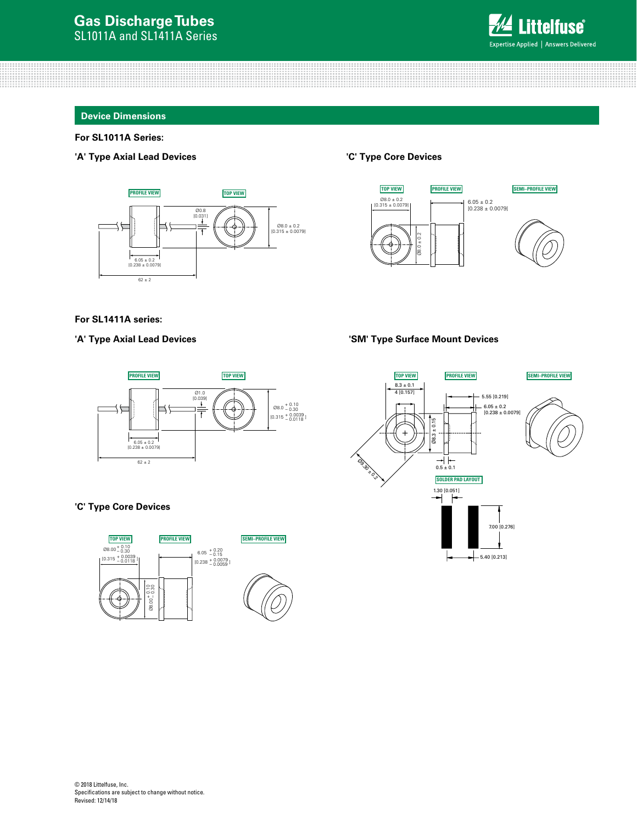

### **Device Dimensions**

# **For SL1011A Series:**

## **'A' Type Axial Lead Devices**



### **'C' Type Core Devices**



### **For SL1411A series:**



# **'C' Type Core Devices**



### 'A' Type Axial Lead Devices **Was absoluted by SM' Type Surface Mount Devices**

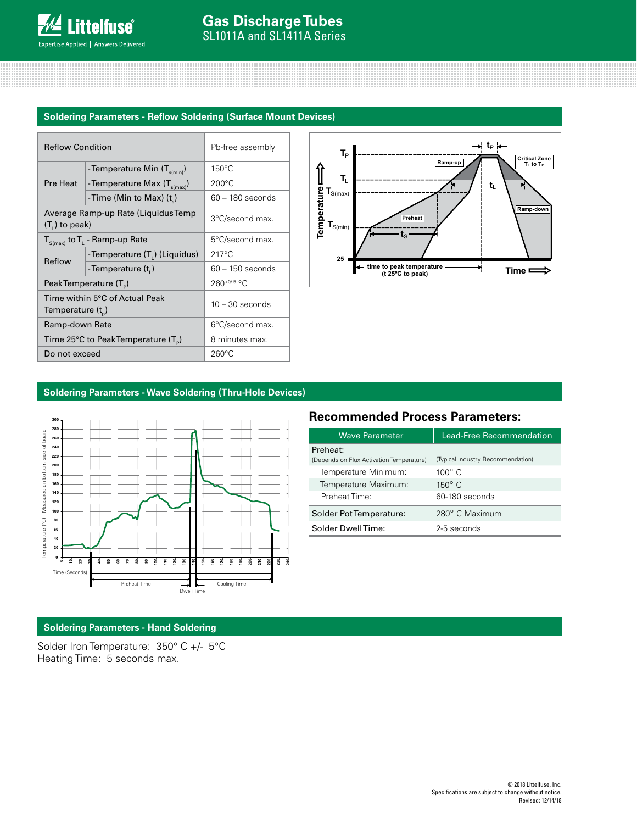# **Soldering Parameters - Reflow Soldering (Surface Mount Devices)**

| <b>Reflow Condition</b> |                                                 | Pb-free assembly   |  |  |
|-------------------------|-------------------------------------------------|--------------------|--|--|
|                         | - Temperature Min (T <sub>s(min</sub> )         | 150°C              |  |  |
| Pre Heat                | - Temperature Max (T <sub>s(max)</sub> )        | $200^{\circ}$ C    |  |  |
|                         | -Time (Min to Max) $(t_a)$                      | $60 - 180$ seconds |  |  |
| $(T1)$ to peak)         | Average Ramp-up Rate (Liquidus Temp)            | 3°C/second max.    |  |  |
|                         | $T_{S(max)}$ to $T_{L}$ - Ramp-up Rate          | 5°C/second max.    |  |  |
| Reflow                  | -Temperature (T.) (Liquidus)                    | $217^{\circ}$ C    |  |  |
|                         | - Temperature (t,)                              | $60 - 150$ seconds |  |  |
|                         | Peak Temperature (T <sub>e</sub> )              | $260^{+0/5}$ °C    |  |  |
| Temperature $(t_{n})$   | Time within 5°C of Actual Peak                  | $10 - 30$ seconds  |  |  |
| Ramp-down Rate          |                                                 | 6°C/second max.    |  |  |
|                         | Time 25°C to Peak Temperature (T <sub>a</sub> ) | 8 minutes max.     |  |  |
| Do not exceed           |                                                 | $260^{\circ}$ C    |  |  |



# **Soldering Parameters - Wave Soldering (Thru-Hole Devices)**



# **Recommended Process Parameters:**

| Wave Parameter                           | <b>Lead-Free Recommendation</b>   |  |  |  |  |
|------------------------------------------|-----------------------------------|--|--|--|--|
| Preheat:                                 |                                   |  |  |  |  |
| (Depends on Flux Activation Temperature) | (Typical Industry Recommendation) |  |  |  |  |
| Temperature Minimum:                     | $100^\circ$ C                     |  |  |  |  |
| Temperature Maximum:                     | $150^{\circ}$ C                   |  |  |  |  |
| Preheat Time:                            | 60-180 seconds                    |  |  |  |  |
| Solder Pot Temperature:                  | 280° C Maximum                    |  |  |  |  |
| Solder DwellTime:                        | 2-5 seconds                       |  |  |  |  |

# **Soldering Parameters - Hand Soldering**

Solder Iron Temperature: 350° C +/- 5°C Heating Time: 5 seconds max.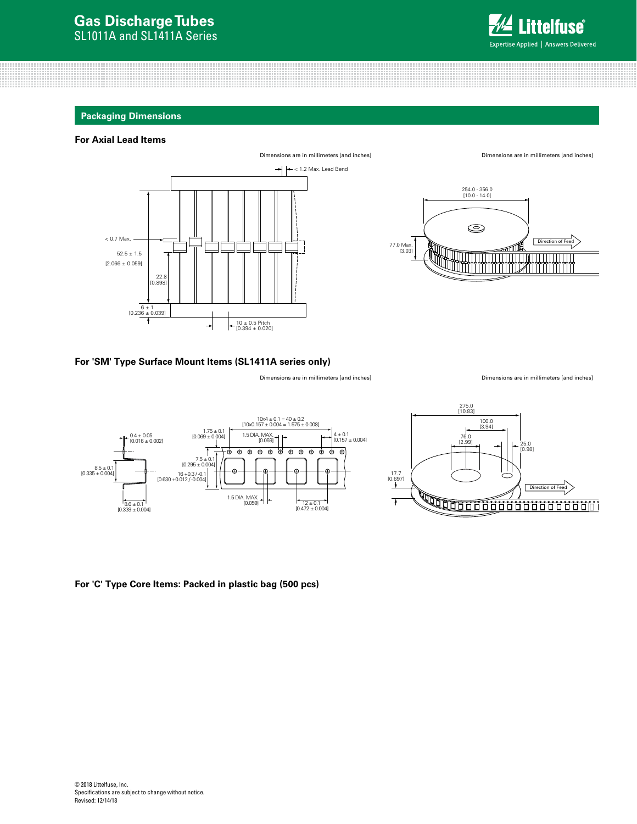

10 ± 0.5 Pitch

### **Packaging Dimensions**

### **For Axial Lead Items**





22.8 [0.898]

### **For 'SM' Type Surface Mount Items (SL1411A series only)**

Dimensions are in millimeters [and inches]

Dimensions are in millimeters [and inches]





### **For 'C' Type Core Items: Packed in plastic bag (500 pcs)**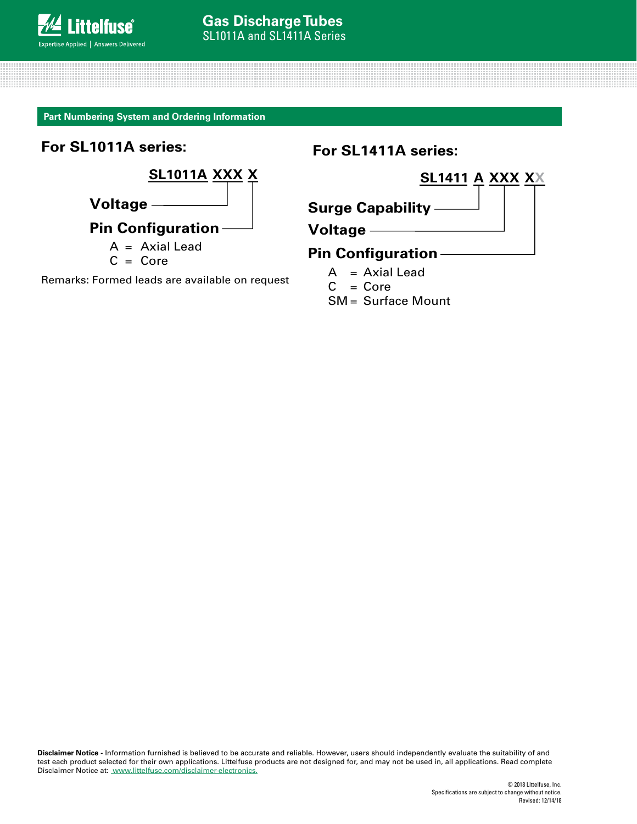**Part Numbering System and Ordering Information**

**For SL1011A series:**



Remarks: Formed leads are available on request

**For SL1411A series:**

<u>A = Axial Leading Control Composed</u>

Remarks: Formed leads are available on request

 $\frac{1}{2}$ 



**Surge Capability**

**Voltage**

# **Pin Configuration**

- $A = Axial$  Lead
- $C = Core$
- SM = Surface Mount

**Disclaimer Notice -** Information furnished is believed to be accurate and reliable. However, users should independently evaluate the suitability of and test each product selected for their own applications. Littelfuse products are not designed for, and may not be used in, all applications. Read complete Disclaimer Notice at: [www.littelfuse.com/disclaimer-electronics.](http://www.littelfuse.com/disclaimer-electronics)